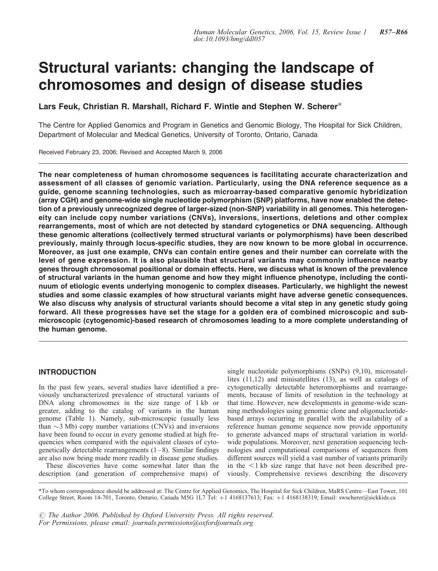# Structural variants: changing the landscape of chromosomes and design of disease studies

Lars Feuk, Christian R. Marshall, Richard F. Wintle and Stephen W. Scherer*\**

The Centre for Applied Genomics and Program in Genetics and Genomic Biology, The Hospital for Sick Children, Department of Molecular and Medical Genetics, University of Toronto, Ontario, Canada

Received February 23, 2006; Revised and Accepted March 9, 2006

The near completeness of human chromosome sequences is facilitating accurate characterization and assessment of all classes of genomic variation. Particularly, using the DNA reference sequence as a guide, genome scanning technologies, such as microarray-based comparative genomic hybridization (array CGH) and genome-wide single nucleotide polymorphism (SNP) platforms, have now enabled the detection of a previously unrecognized degree of larger-sized (non-SNP) variability in all genomes. This heterogeneity can include copy number variations (CNVs), inversions, insertions, deletions and other complex rearrangements, most of which are not detected by standard cytogenetics or DNA sequencing. Although these genomic alterations (collectively termed structural variants or polymorphisms) have been described previously, mainly through locus-specific studies, they are now known to be more global in occurrence. Moreover, as just one example, CNVs can contain entire genes and their number can correlate with the level of gene expression. It is also plausible that structural variants may commonly influence nearby genes through chromosomal positional or domain effects. Here, we discuss what is known of the prevalence of structural variants in the human genome and how they might influence phenotype, including the continuum of etiologic events underlying monogenic to complex diseases. Particularly, we highlight the newest studies and some classic examples of how structural variants might have adverse genetic consequences. We also discuss why analysis of structural variants should become a vital step in any genetic study going forward. All these progresses have set the stage for a golden era of combined microscopic and submicroscopic (cytogenomic)-based research of chromosomes leading to a more complete understanding of the human genome.

### INTRODUCTION

In the past few years, several studies have identified a previously uncharacterized prevalence of structural variants of DNA along chromosomes in the size range of 1 kb or greater, adding to the catalog of variants in the human genome (Table 1). Namely, sub-microscopic (usually less than  $\sim$ 3 Mb) copy number variations (CNVs) and inversions have been found to occur in every genome studied at high frequencies when compared with the equivalent classes of cytogenetically detectable rearrangements  $(1-8)$ . Similar findings are also now being made more readily in disease gene studies.

These discoveries have come somewhat later than the description (and generation of comprehensive maps) of

single nucleotide polymorphisms (SNPs) (9,10), microsatellites (11,12) and minisatellites (13), as well as catalogs of cytogenetically detectable heteromorphisms and rearrangements, because of limits of resolution in the technology at that time. However, new developments in genome-wide scanning methodologies using genomic clone and oligonucleotidebased arrays occurring in parallel with the availability of a reference human genome sequence now provide opportunity to generate advanced maps of structural variation in worldwide populations. Moreover, next generation sequencing technologies and computational comparisons of sequences from different sources will yield a vast number of variants primarily in the  $\leq$ 1 kb size range that have not been described previously. Comprehensive reviews describing the discovery

\*To whom correspondence should be addressed at: The Centre for Applied Genomics, The Hospital for Sick Children, MaRS Centre—East Tower, 101 College Street, Room 14-701, Toronto, Ontario, Canada M5G 1L7 Tel: +1 4168137613; Fax: +1 4168138319; Email: swscherer@sickkids.ca

*#* The Author 2006. Published by Oxford University Press. All rights reserved. For Permissions, please email: journals.permissions@oxfordjournals.org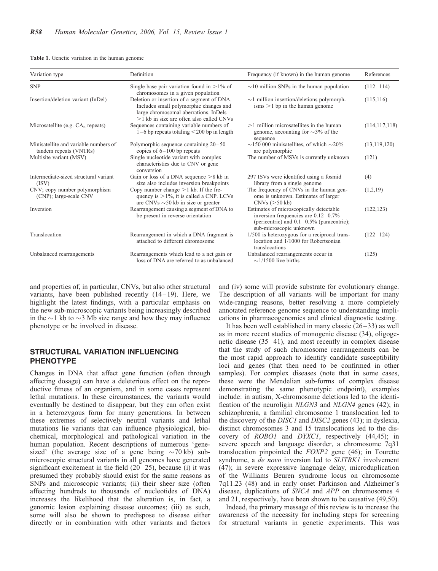| Table 1. Genetic variation in the human genome |  |
|------------------------------------------------|--|
|------------------------------------------------|--|

| Variation type                                                  | Definition                                                                                                                                                                  | Frequency (if known) in the human genome                                                                                                                     | References      |
|-----------------------------------------------------------------|-----------------------------------------------------------------------------------------------------------------------------------------------------------------------------|--------------------------------------------------------------------------------------------------------------------------------------------------------------|-----------------|
| <b>SNP</b>                                                      | Single base pair variation found in $>1\%$ of<br>chromosomes in a given population                                                                                          | $\sim$ 10 million SNPs in the human population                                                                                                               | $(112 - 114)$   |
| Insertion/deletion variant (InDel)                              | Deletion or insertion of a segment of DNA.<br>Includes small polymorphic changes and<br>large chromosomal aberrations. InDels<br>$>1$ kb in size are often also called CNVs | $\sim$ 1 million insertion/deletions polymorph-<br>$\text{isms} > 1$ bp in the human genome                                                                  | (115, 116)      |
| Microsatellite (e.g. $CA_n$ repeats)                            | Sequences containing variable numbers of<br>$1-6$ bp repeats totaling $\leq$ 200 bp in length                                                                               | $>1$ million microsatellites in the human<br>genome, accounting for $\sim$ 3% of the<br>sequence                                                             | (114, 117, 118) |
| Minisatellite and variable numbers of<br>tandem repeats (VNTRs) | Polymorphic sequence containing $20-50$<br>copies of $6-100$ bp repeats                                                                                                     | $\sim$ 150 000 minisatellites, of which $\sim$ 20%<br>are polymorphic                                                                                        | (13, 119, 120)  |
| Multisite variant (MSV)                                         | Single nucleotide variant with complex<br>characteristics due to CNV or gene<br>conversion                                                                                  | The number of MSVs is currently unknown                                                                                                                      | (121)           |
| Intermediate-sized structural variant<br>(ISV)                  | Gain or loss of a DNA sequence $>8$ kb in<br>size also includes inversion breakpoints                                                                                       | 297 ISVs were identified using a fosmid<br>library from a single genome                                                                                      | (4)             |
| CNV; copy number polymorphism<br>(CNP); large-scale CNV         | Copy number change $>1$ kb. If the fre-<br>quency is $>1\%$ , it is called a CNP. LCVs<br>are CNVs $\sim$ 50 kb in size or greater                                          | The frequency of CNVs in the human gen-<br>ome is unknown. Estimates of larger<br>CNVs (> 50 kb)                                                             | (1,2,19)        |
| Inversion                                                       | Rearrangement causing a segment of DNA to<br>be present in reverse orientation                                                                                              | Estimates of microscopically detectable<br>inversion frequencies are $0.12-0.7\%$<br>(pericentric) and $0.1-0.5\%$ (paracentric);<br>sub-microscopic unknown | (122, 123)      |
| Translocation                                                   | Rearrangement in which a DNA fragment is<br>attached to different chromosome                                                                                                | 1/500 is heterozygous for a reciprocal trans-<br>location and 1/1000 for Robertsonian<br>translocations                                                      | $(122 - 124)$   |
| Unbalanced rearrangements                                       | Rearrangements which lead to a net gain or<br>loss of DNA are referred to as unbalanced                                                                                     | Unbalanced rearrangements occur in<br>$\sim$ 1/1500 live births                                                                                              | (125)           |

and properties of, in particular, CNVs, but also other structural variants, have been published recently  $(14-19)$ . Here, we highlight the latest findings, with a particular emphasis on the new sub-microscopic variants being increasingly described in the  $\sim$ 1 kb to  $\sim$ 3 Mb size range and how they may influence phenotype or be involved in disease.

## STRUCTURAL VARIATION INFLUENCING PHENOTYPE

Changes in DNA that affect gene function (often through affecting dosage) can have a deleterious effect on the reproductive fitness of an organism, and in some cases represent lethal mutations. In these circumstances, the variants would eventually be destined to disappear, but they can often exist in a heterozygous form for many generations. In between these extremes of selectively neutral variants and lethal mutations lie variants that can influence physiological, biochemical, morphological and pathological variation in the human population. Recent descriptions of numerous 'genesized' (the average size of a gene being  $\sim$  70 kb) submicroscopic structural variants in all genomes have generated significant excitement in the field  $(20-25)$ , because (i) it was presumed they probably should exist for the same reasons as SNPs and microscopic variants; (ii) their sheer size (often affecting hundreds to thousands of nucleotides of DNA) increases the likelihood that the alteration is, in fact, a genomic lesion explaining disease outcomes; (iii) as such, some will also be shown to predispose to disease either directly or in combination with other variants and factors

and (iv) some will provide substrate for evolutionary change. The description of all variants will be important for many wide-ranging reasons, better resolving a more completely annotated reference genome sequence to understanding implications in pharmacogenomics and clinical diagnostic testing.

It has been well established in many classic  $(26-33)$  as well as in more recent studies of monogenic disease (34), oligogenetic disease  $(35-41)$ , and most recently in complex disease that the study of such chromosome rearrangements can be the most rapid approach to identify candidate susceptibility loci and genes (that then need to be confirmed in other samples). For complex diseases (note that in some cases, these were the Mendelian sub-forms of complex disease demonstrating the same phenotypic endpoint), examples include: in autism, X-chromosome deletions led to the identification of the neuroligin *NLGN3* and *NLGN4* genes (42); in schizophrenia, a familial chromosome 1 translocation led to the discovery of the *DISC1* and *DISC2* genes (43); in dyslexia, distinct chromosomes 3 and 15 translocations led to the discovery of ROBO1 and DYXC1, respectively (44,45); in severe speech and language disorder, a chromosome 7q31 translocation pinpointed the FOXP2 gene (46); in Tourette syndrome, a *de novo* inversion led to *SLITRK1* involvement (47); in severe expressive language delay, microduplication of the Williams –Beuren syndrome locus on chromosome 7q11.23 (48) and in early onset Parkinson and Alzheimer's disease, duplications of SNCA and APP on chromosomes 4 and 21, respectively, have been shown to be causative (49,50).

Indeed, the primary message of this review is to increase the awareness of the necessity for including steps for screening for structural variants in genetic experiments. This was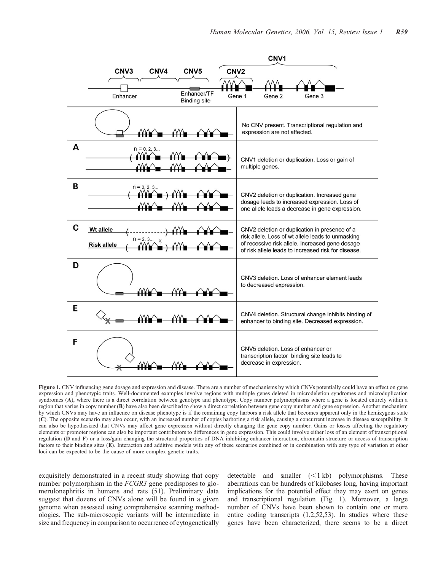

Figure 1. CNV influencing gene dosage and expression and disease. There are a number of mechanisms by which CNVs potentially could have an effect on gene expression and phenotypic traits. Well-documented examples involve regions with multiple genes deleted in microdeletion syndromes and microduplication syndromes (A), where there is a direct correlation between genotype and phenotype. Copy number polymorphisms where a gene is located entirely within a region that varies in copy number (B) have also been described to show a direct correlation between gene copy number and gene expression. Another mechanism by which CNVs may have an influence on disease phenotype is if the remaining copy harbors a risk allele that becomes apparent only in the hemizygous state (C). The opposite scenario may also occur, with an increased number of copies harboring a risk allele, causing a concurrent increase in disease susceptibility. It can also be hypothesized that CNVs may affect gene expression without directly changing the gene copy number. Gains or losses affecting the regulatory elements or promoter regions can also be important contributors to differences in gene expression. This could involve either loss of an element of transcriptional regulation (D and F) or a loss/gain changing the structural properties of DNA inhibiting enhancer interaction, chromatin structure or access of transcription factors to their binding sites (E). Interaction and additive models with any of these scenarios combined or in combination with any type of variation at other loci can be expected to be the cause of more complex genetic traits.

exquisitely demonstrated in a recent study showing that copy number polymorphism in the *FCGR3* gene predisposes to glomerulonephritis in humans and rats (51). Preliminary data suggest that dozens of CNVs alone will be found in a given genome when assessed using comprehensive scanning methodologies. The sub-microscopic variants will be intermediate in size and frequency in comparison to occurrence of cytogenetically detectable and smaller  $(<1$  kb) polymorphisms. These aberrations can be hundreds of kilobases long, having important implications for the potential effect they may exert on genes and transcriptional regulation (Fig. 1). Moreover, a large number of CNVs have been shown to contain one or more entire coding transcripts (1,2,52,53). In studies where these genes have been characterized, there seems to be a direct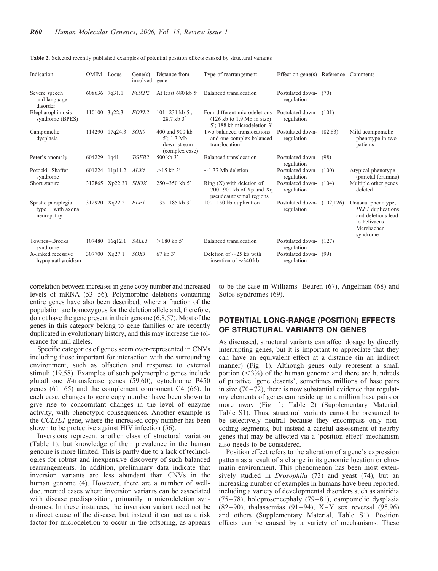| Indication                                              | OMIM Locus    |                     | Gene(s)<br>involved gene | Distance from                                                    | Type of rearrangement                                                                                          | Effect on gene(s) Reference Comments |            |                                                                                                          |
|---------------------------------------------------------|---------------|---------------------|--------------------------|------------------------------------------------------------------|----------------------------------------------------------------------------------------------------------------|--------------------------------------|------------|----------------------------------------------------------------------------------------------------------|
| Severe speech<br>and language<br>disorder               | 608636 7q31.1 |                     | FOXP2                    | At least $680$ kb $5'$                                           | Balanced translocation                                                                                         | Postulated down-<br>regulation       | (70)       |                                                                                                          |
| Blepharophimosis<br>syndrome (BPES)                     | 110100 3q22.3 |                     | FOXL2                    | $101 - 231$ kb 5';<br>28.7 kb 3'                                 | Four different microdeletions<br>$(126 \text{ kb}$ to $1.9 \text{ Mb}$ in size)<br>5'; 188 kb microdeletion 3' | Postulated down-<br>regulation       | (101)      |                                                                                                          |
| Campomelic<br>dysplasia                                 |               | 114290 17g24.3      | SOX9                     | 400 and 900 kb<br>$5'$ : 1.3 Mb<br>down-stream<br>(complex case) | Two balanced translocations<br>and one complex balanced<br>translocation                                       | Postulated down-<br>regulation       | (82, 83)   | Mild acampomelic<br>phenotype in two<br>patients                                                         |
| Peter's anomaly                                         | 604229 1q41   |                     | TGFB2                    | 500 kb $3'$                                                      | Balanced translocation                                                                                         | Postulated down-<br>regulation       | (98)       |                                                                                                          |
| Potocki-Shaffer<br>syndrome                             |               | 601224 11p11.2      | ALX4                     | $>15$ kb 3'                                                      | $\sim$ 1.37 Mb deletion                                                                                        | Postulated down-<br>regulation       | (100)      | Atypical phenotype<br>(parietal foramina)                                                                |
| Short stature                                           |               | 312865 Xp22.33 SHOX |                          | $250 - 350$ kb $5'$                                              | Ring $(X)$ with deletion of<br>$700 - 900$ kb of Xp and Xq<br>pseudoautosomal regions                          | Postulated down-<br>regulation       | (104)      | Multiple other genes<br>deleted                                                                          |
| Spastic paraplegia<br>type II with axonal<br>neuropathy |               | 312920 Xq22.2       | <i>PLP1</i>              | $135 - 185$ kb 3'                                                | $100 - 150$ kb duplication                                                                                     | Postulated down-<br>regulation       | (102, 126) | Unusual phenotype;<br>PLP1 duplications<br>and deletions lead<br>to Pelizaeus-<br>Merzbacher<br>syndrome |
| Townes-Brocks<br>syndrome                               |               | 107480 16q12.1      | <i>SALL1</i>             | $>180$ kb 5'                                                     | Balanced translocation                                                                                         | Postulated down-<br>regulation       | (127)      |                                                                                                          |
| X-linked recessive<br>hypoparathyroidism                |               | 307700 Xq27.1       | SOX3                     | $67$ kb $3'$                                                     | Deletion of $\sim$ 25 kb with<br>insertion of $\sim$ 340 kb                                                    | Postulated down-<br>regulation       | (99)       |                                                                                                          |

Table 2. Selected recently published examples of potential position effects caused by structural variants

correlation between increases in gene copy number and increased levels of mRNA (53–56). Polymorphic deletions containing entire genes have also been described, where a fraction of the population are homozygous for the deletion allele and, therefore, do not have the gene present in their genome (6,8,57). Most of the genes in this category belong to gene families or are recently duplicated in evolutionary history, and this may increase the tolerance for null alleles.

Specific categories of genes seem over-represented in CNVs including those important for interaction with the surrounding environment, such as olfaction and response to external stimuli (19,58). Examples of such polymorphic genes include glutathione S-transferase genes (59,60), cytochrome P450 genes  $(61-65)$  and the complement component C4 (66). In each case, changes to gene copy number have been shown to give rise to concomitant changes in the level of enzyme activity, with phenotypic consequences. Another example is the CCL3L1 gene, where the increased copy number has been shown to be protective against HIV infection (56).

Inversions represent another class of structural variation (Table 1), but knowledge of their prevalence in the human genome is more limited. This is partly due to a lack of technologies for robust and inexpensive discovery of such balanced rearrangements. In addition, preliminary data indicate that inversion variants are less abundant than CNVs in the human genome (4). However, there are a number of welldocumented cases where inversion variants can be associated with disease predisposition, primarily in microdeletion syndromes. In these instances, the inversion variant need not be a direct cause of the disease, but instead it can act as a risk factor for microdeletion to occur in the offspring, as appears

to be the case in Williams –Beuren (67), Angelman (68) and Sotos syndromes (69).

## POTENTIAL LONG-RANGE (POSITION) EFFECTS OF STRUCTURAL VARIANTS ON GENES

As discussed, structural variants can affect dosage by directly interrupting genes, but it is important to appreciate that they can have an equivalent effect at a distance (in an indirect manner) (Fig. 1). Although genes only represent a small portion  $( $3\%$ )$  of the human genome and there are hundreds of putative 'gene deserts', sometimes millions of base pairs in size  $(70-72)$ , there is now substantial evidence that regulatory elements of genes can reside up to a million base pairs or more away (Fig. 1; Table 2) (Supplementary Material, Table S1). Thus, structural variants cannot be presumed to be selectively neutral because they encompass only noncoding segments, but instead a careful assessment of nearby genes that may be affected via a 'position effect' mechanism also needs to be considered.

Position effect refers to the alteration of a gene's expression pattern as a result of a change in its genomic location or chromatin environment. This phenomenon has been most extensively studied in *Drosophila* (73) and yeast (74), but an increasing number of examples in humans have been reported, including a variety of developmental disorders such as aniridia (75 –78), holoprosencephaly (79 – 81), campomelic dysplasia (82-90), thalassemias (91-94),  $X-Y$  sex reversal (95,96) and others (Supplementary Material, Table S1). Position effects can be caused by a variety of mechanisms. These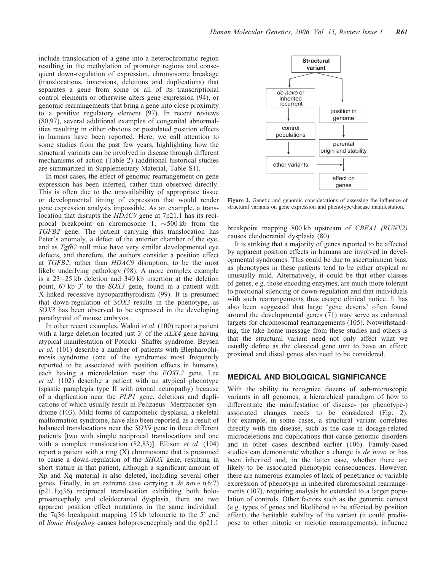include translocation of a gene into a heterochromatic region resulting in the methylation of promoter regions and consequent down-regulation of expression, chromosome breakage (translocations, inversions, deletions and duplications) that separates a gene from some or all of its transcriptional control elements or otherwise alters gene expression (94), or genomic rearrangements that bring a gene into close proximity to a positive regulatory element (97). In recent reviews (80,97), several additional examples of congenital abnormalities resulting in either obvious or postulated position effects in humans have been reported. Here, we call attention to some studies from the past few years, highlighting how the structural variants can be involved in disease through different mechanisms of action (Table 2) (additional historical studies are summarized in Supplementary Material, Table S1).

In most cases, the effect of genomic rearrangement on gene expression has been inferred, rather than observed directly. This is often due to the unavailability of appropriate tissue or developmental timing of expression that would render gene expression analysis impossible. As an example, a translocation that disrupts the HDAC9 gene at 7p21.1 has its reciprocal breakpoint on chromosome 1,  $\sim$  500 kb from the TGFB2 gene. The patient carrying this translocation has Peter's anomaly, a defect of the anterior chamber of the eye, and as Tgfb2 null mice have very similar developmental eye defects, and therefore, the authors consider a position effect at TGFB2, rather than HDAC9 disruption, to be the most likely underlying pathology (98). A more complex example is a 23 – 25 kb deletion and 340 kb insertion at the deletion point,  $67$  kb  $3'$  to the  $SOX3$  gene, found in a patient with X-linked recessive hypoparathyroidism (99). It is presumed that down-regulation of SOX3 results in the phenotype, as SOX3 has been observed to be expressed in the developing parathyroid of mouse embryos.

In other recent examples, Wakui et al. (100) report a patient with a large deletion located just  $3'$  of the  $ALX4$  gene having atypical manifestation of Potocki –Shaffer syndrome. Beysen et al. (101) describe a number of patients with Blepharophimosis syndrome (one of the syndromes most frequently reported to be associated with position effects in humans), each having a microdeletion near the FOXL2 gene. Lee et al. (102) describe a patient with an atypical phenotype (spastic paraplegia type II with axonal neuropathy) because of a duplication near the PLP1 gene, deletions and duplications of which usually result in Pelizaeus–Merzbacher syndrome (103). Mild forms of campomelic dysplasia, a skeletal malformation syndrome, have also been reported, as a result of balanced translocations near the SOX9 gene in three different patients [two with simple reciprocal translocations and one with a complex translocation (82,83)]. Ellison et al. (104) report a patient with a ring (X) chromosome that is presumed to cause a down-regulation of the SHOX gene, resulting in short stature in that patient, although a significant amount of Xp and Xq material is also deleted, including several other genes. Finally, in an extreme case carrying a  $de novo$  t(6;7) (p21.1;q36) reciprocal translocation exhibiting both holoprosencephaly and cleidocranial dysplasia, there are two apparent position effect mutations in the same individual: the 7q36 breakpoint mapping 15 kb telomeric to the  $5'$  end of Sonic Hedgehog causes holoprosencephaly and the 6p21.1



Figure 2. Genetic and genomic considerations of assessing the influence of structural variants on gene expression and phenotype/disease manifestation.

breakpoint mapping 800 kb upstream of CBFA1 (RUNX2) causes cleidocranial dysplasia (80).

It is striking that a majority of genes reported to be affected by apparent position effects in humans are involved in developmental syndromes. This could be due to ascertainment bias, as phenotypes in these patients tend to be either atypical or unusually mild. Alternatively, it could be that other classes of genes, e.g. those encoding enzymes, are much more tolerant to positional silencing or down-regulation and that individuals with such rearrangements thus escape clinical notice. It has also been suggested that large 'gene deserts' often found around the developmental genes (71) may serve as enhanced targets for chromosomal rearrangements (105). Notwithstanding, the take home message from these studies and others is that the structural variant need not only affect what we usually define as the classical gene unit to have an effect; proximal and distal genes also need to be considered.

#### MEDICAL AND BIOLOGICAL SIGNIFICANCE

With the ability to recognize dozens of sub-microscopic variants in all genomes, a hierarchical paradigm of how to differentiate the manifestation of disease- (or phenotype-) associated changes needs to be considered (Fig. 2). For example, in some cases, a structural variant correlates directly with the disease, such as the case in dosage-related microdeletions and duplications that cause genomic disorders and in other cases described earlier (106). Family-based studies can demonstrate whether a change is de novo or has been inherited and, in the latter case, whether there are likely to be associated phenotypic consequences. However, there are numerous examples of lack of penetrance or variable expression of phenotype in inherited chromosomal rearrangements (107), requiring analysis be extended to a larger population of controls. Other factors such as the genomic context (e.g. types of genes and likelihood to be affected by position effect), the heritable stability of the variant (it could predispose to other mitotic or meiotic rearrangements), influence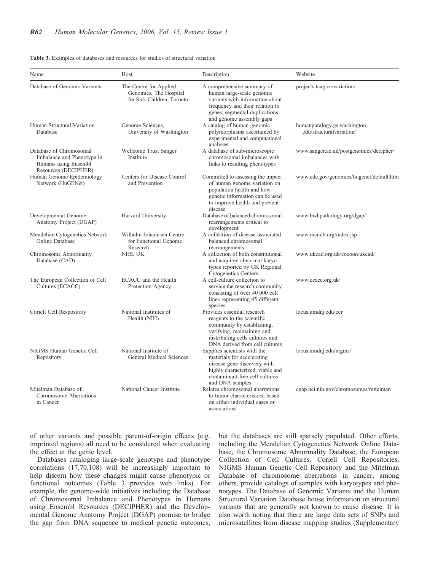| Name                                                                                                  | Host                                                                           | Description                                                                                                                                                                                | Website                                                 |
|-------------------------------------------------------------------------------------------------------|--------------------------------------------------------------------------------|--------------------------------------------------------------------------------------------------------------------------------------------------------------------------------------------|---------------------------------------------------------|
| Database of Genomic Variants                                                                          | The Centre for Applied<br>Genomics, The Hospital<br>for Sick Children, Toronto | A comprehensive summary of<br>human large-scale genomic<br>variants with information about<br>frequency and their relation to<br>genes, segmental duplications<br>and genome assembly gaps | projects.tcag.ca/variation/                             |
| Human Structural Variation<br>Database                                                                | Genome Sciences,<br>University of Washington                                   | A catalog of human genomic<br>polymorphisms ascertained by<br>experimental and computational<br>analyses                                                                                   | humanparalogy.gs.washington<br>edu/structuralvariation/ |
| Database of Chromosomal<br>Imbalance and Phenotype in<br>Humans using Ensembl<br>Resources (DECIPHER) | Wellcome Trust Sanger<br>Institute                                             | A database of sub-microscopic<br>chromosomal imbalances with<br>links to resulting phenotypes                                                                                              | www.sanger.ac.uk/postgenomics/decipher/                 |
| Human Genome Epidemiology<br>Network (HuGENet)                                                        | Centers for Disease Control<br>and Prevention                                  | Committed to assessing the impact<br>of human genome variation on<br>population health and how<br>genetic information can be used<br>to improve health and prevent<br>disease              | www.cdc.gov/genomics/hugenet/default.htm                |
| Developmental Genome<br>Anatomy Project (DGAP)                                                        | Harvard University                                                             | Database of balanced chromosomal<br>rearrangements critical to<br>development                                                                                                              | www.bwhpathology.org/dgap/                              |
| Mendelian Cytogenetics Network<br>Online Database                                                     | Wilhelm Johannsen Centre<br>for Functional Genome<br>Research                  | A collection of disease-associated<br>balanced chromosomal<br>rearrangements                                                                                                               | www.mcndb.org/index.jsp                                 |
| Chromosome Abnormality<br>Database (CAD)                                                              | NHS, UK                                                                        | A collection of both constitutional<br>and acquired abnormal karyo-<br>types reported by UK Regional<br><b>Cytogenetics Centers</b>                                                        | www.ukcad.org.uk/cocoon/ukcad/                          |
| The European Collection of Cell<br>Cultures (ECACC)                                                   | ECACC and the Health<br>Protection Agency                                      | A cell-culture collection to<br>service the research community<br>consisting of over 40 000 cell<br>lines representing 45 different<br>species                                             | www.ecacc.org.uk/                                       |
| Coriell Cell Respository                                                                              | National Institutes of<br>Health (NIH)                                         | Provides essential research<br>reagents to the scientific<br>community by establishing,<br>verifying, maintaining and<br>distributing cells cultures and<br>DNA derived from cell cultures | locus.umdnj.edu/ccr                                     |
| NIGMS Human Genetic Cell<br>Repository                                                                | National Institute of<br>General Medical Sciences                              | Supplies scientists with the<br>materials for accelerating<br>disease gene discovery with<br>highly characterized, viable and<br>contaminant-free cell cultures<br>and DNA samples         | locus.umdnj.edu/nigms/                                  |
| Mitelman Database of<br>Chromosome Aberrations<br>in Cancer                                           | National Cancer Institute                                                      | Relates chromosomal aberrations<br>to tumor characteristics, based<br>on either individual cases or<br>associations                                                                        | egap.nci.nih.gov/chromosomes/mitelman                   |

Table 3. Examples of databases and resources for studies of structural variation

of other variants and possible parent-of-origin effects (e.g. imprinted regions) all need to be considered when evaluating the effect at the genic level.

Databases cataloging large-scale genotype and phenotype correlations (17,70,108) will be increasingly important to help discern how these changes might cause phenotypic or functional outcomes (Table 3 provides web links). For example, the genome-wide initiatives including the Database of Chromosomal Imbalance and Phenotypes in Humans using Ensembl Resources (DECIPHER) and the Developmental Genome Anatomy Project (DGAP) promise to bridge the gap from DNA sequence to medical genetic outcomes,

but the databases are still sparsely populated. Other efforts, including the Mendelian Cytogenetics Network Online Database, the Chromosome Abnormality Database, the European Collection of Cell Cultures, Coriell Cell Repositories, NIGMS Human Genetic Cell Repository and the Mitelman Database of chromosome aberrations in cancer, among others, provide catalogs of samples with karyotypes and phenotypes. The Database of Genomic Variants and the Human Structural Variation Database house information on structural variants that are generally not known to cause disease. It is also worth noting that there are large data sets of SNPs and microsatellites from disease mapping studies (Supplementary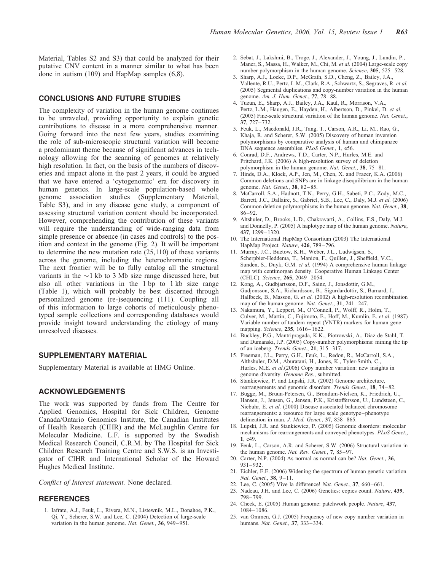Material, Tables S2 and S3) that could be analyzed for their putative CNV content in a manner similar to what has been done in autism (109) and HapMap samples (6,8).

## CONCLUSIONS AND FUTURE STUDIES

The complexity of variation in the human genome continues to be unraveled, providing opportunity to explain genetic contributions to disease in a more comprehensive manner. Going forward into the next few years, studies examining the role of sub-microscopic structural variation will become a predominant theme because of significant advances in technology allowing for the scanning of genomes at relatively high resolution. In fact, on the basis of the numbers of discoveries and impact alone in the past 2 years, it could be argued that we have entered a 'cytogenomic' era for discovery in human genetics. In large-scale population-based whole genome association studies (Supplementary Material, Table S3), and in any disease gene study, a component of assessing structural variation content should be incorporated. However, comprehending the contribution of these variants will require the understanding of wide-ranging data from simple presence or absence (in cases and controls) to the position and context in the genome (Fig. 2). It will be important to determine the new mutation rate (25,110) of these variants across the genome, including the heterochromatic regions. The next frontier will be to fully catalog all the structural variants in the  $\sim$ 1 kb to 3 Mb size range discussed here, but also all other variations in the 1 bp to 1 kb size range (Table 1), which will probably be best discerned through personalized genome (re-)sequencing (111). Coupling all of this information to large cohorts of meticulously phenotyped sample collections and corresponding databases would provide insight toward understanding the etiology of many unresolved diseases.

#### SUPPLEMENTARY MATERIAL

Supplementary Material is available at HMG Online.

#### ACKNOWLEDGEMENTS

The work was supported by funds from The Centre for Applied Genomics, Hospital for Sick Children, Genome Canada/Ontario Genomics Institute, the Canadian Institutes of Health Research (CIHR) and the McLaughlin Centre for Molecular Medicine. L.F. is supported by the Swedish Medical Research Council, C.R.M. by The Hospital for Sick Children Research Training Centre and S.W.S. is an Investigator of CIHR and International Scholar of the Howard Hughes Medical Institute.

Conflict of Interest statement. None declared.

#### **REFERENCES**

1. Iafrate, A.J., Feuk, L., Rivera, M.N., Listewnik, M.L., Donahoe, P.K., Qi, Y., Scherer, S.W. and Lee, C. (2004) Detection of large-scale variation in the human genome. Nat. Genet., 36, 949–951.

- 2. Sebat, J., Lakshmi, B., Troge, J., Alexander, J., Young, J., Lundin, P., Maner, S., Massa, H., Walker, M., Chi, M. et al. (2004) Large-scale copy number polymorphism in the human genome. Science, 305, 525–528.
- 3. Sharp, A.J., Locke, D.P., McGrath, S.D., Cheng, Z., Bailey, J.A., Vallente, R.U., Pertz, L.M., Clark, R.A., Schwartz, S., Segraves, R. et al. (2005) Segmental duplications and copy-number variation in the human genome. Am. J. Hum. Genet., 77, 78–88.
- 4. Tuzun, E., Sharp, A.J., Bailey, J.A., Kaul, R., Morrison, V.A., Pertz, L.M., Haugen, E., Hayden, H., Albertson, D., Pinkel, D. et al. (2005) Fine-scale structural variation of the human genome. Nat. Genet., 37, 727–732.
- 5. Feuk, L., Macdonald, J.R., Tang, T., Carson, A.R., Li, M., Rao, G., Khaja, R. and Scherer, S.W. (2005) Discovery of human inversion polymorphisms by comparative analysis of human and chimpanzee DNA sequence assemblies. PLoS Genet., 1, e56.
- 6. Conrad, D.F., Andrews, T.D., Carter, N.P., Hurles, M.E. and Pritchard, J.K. (2006) A high-resolution survey of deletion polymorphism in the human genome. Nat. Genet., 38, 75–81.
- 7. Hinds, D.A., Kloek, A.P., Jen, M., Chen, X. and Frazer, K.A. (2006) Common deletions and SNPs are in linkage disequilibrium in the human genome. Nat. Genet., 38, 82–85.
- 8. McCarroll, S.A., Hadnott, T.N., Perry, G.H., Sabeti, P.C., Zody, M.C., Barrett, J.C., Dallaire, S., Gabriel, S.B., Lee, C., Daly, M.J. et al. (2006) Common deletion polymorphisms in the human genome. Nat. Genet., 38, 86–92.
- 9. Altshuler, D., Brooks, L.D., Chakravarti, A., Collins, F.S., Daly, M.J. and Donnelly, P. (2005) A haplotype map of the human genome. Nature, 437, 1299–1320.
- 10. The International HapMap Consortium (2003) The International HapMap Project. Nature, 426, 789–796.
- 11. Murray, J.C., Buetow, K.H., Weber, J.L., Ludwigsen, S., Scherpbier-Heddema, T., Manion, F., Quillen, J., Sheffield, V.C., Sunden, S., Duyk, G.M. et al. (1994) A comprehensive human linkage map with centimorgan density. Cooperative Human Linkage Center (CHLC). Science, 265, 2049–2054.
- 12. Kong, A., Gudbjartsson, D.F., Sainz, J., Jonsdottir, G.M., Gudjonsson, S.A., Richardsson, B., Sigurdardottir, S., Barnard, J., Hallbeck, B., Masson, G. et al. (2002) A high-resolution recombination map of the human genome. Nat. Genet., 31, 241-247.
- 13. Nakamura, Y., Leppert, M., O'Connell, P., Wolff, R., Holm, T., Culver, M., Martin, C., Fujimoto, E., Hoff, M., Kumlin, E. et al. (1987) Variable number of tandem repeat (VNTR) markers for human gene mapping. Science, 235, 1616–1622.
- 14. Buckley, P.G., Mantripragada, K.K., Piotrowski, A., Diaz de Stahl, T. and Dumanski, J.P. (2005) Copy-number polymorphisms: mining the tip of an iceberg. Trends Genet., 21, 315–317.
- 15. Freeman, J.L., Perry, G.H., Feuk, L., Redon, R., McCarroll, S.A., Althshuler, D.M., Aburatani, H., Jones, K., Tyler-Smith, C., Hurles, M.E. et al.(2006) Copy number variation: new insights in genome diversity. Genome Res., submitted.
- 16. Stankiewicz, P. and Lupski, J.R. (2002) Genome architecture, rearrangements and genomic disorders. Trends Genet., 18, 74 –82.
- 17. Bugge, M., Bruun-Petersen, G., Brondum-Nielsen, K., Friedrich, U., Hansen, J., Jensen, G., Jensen, P.K., Kristoffersson, U., Lundsteen, C., Niebuhr, E. et al. (2000) Disease associated balanced chromosome rearrangements: a resource for large scale genotype–phenotype delineation in man. J. Med. Genet., 37, 858–865.
- 18. Lupski, J.R. and Stankiewicz, P. (2005) Genomic disorders: molecular mechanisms for rearrangements and conveyed phenotypes. PLoS Genet., 1, e49.
- 19. Feuk, L., Carson, A.R. and Scherer, S.W. (2006) Structural variation in the human genome. Nat. Rev. Genet., 7, 85-97.
- 20. Carter, N.P. (2004) As normal as normal can be? Nat. Genet., 36, 931–932.
- 21. Eichler, E.E. (2006) Widening the spectrum of human genetic variation. Nat. Genet.,  $38.9 - 11$ .
- 22. Lee, C. (2005) Vive la difference! Nat. Genet., 37, 660-661.
- 23. Nadeau, J.H. and Lee, C. (2006) Genetics: copies count. Nature, 439, 798–799.
- 24. Check, E. (2005) Human genome: patchwork people. Nature, 437, 1084–1086.
- 25. van Ommen, G.J. (2005) Frequency of new copy number variation in humans. Nat. Genet., 37, 333–334.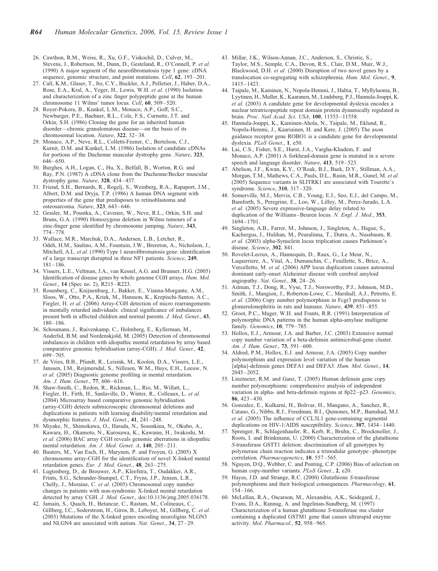- 26. Cawthon, R.M., Weiss, R., Xu, G.F., Viskochil, D., Culver, M., Stevens, J., Robertson, M., Dunn, D., Gesteland, R., O'Connell, P. et al. (1990) A major segment of the neurofibromatosis type 1 gene: cDNA sequence, genomic structure, and point mutations. Cell, 62, 193-201.
- 27. Call, K.M., Glaser, T., Ito, C.Y., Buckler, A.J., Pelletier, J., Haber, D.A., Rose, E.A., Kral, A., Yeger, H., Lewis, W.H. et al. (1990) Isolation and characterization of a zinc finger polypeptide gene at the human chromosome 11 Wilms' tumor locus. Cell, 60, 509-520.
- 28. Royer-Pokora, B., Kunkel, L.M., Monaco, A.P., Goff, S.C., Newburger, P.E., Baehner, R.L., Cole, F.S., Curnutte, J.T. and Orkin, S.H. (1986) Cloning the gene for an inherited human disorder—chronic granulomatous disease—on the basis of its chromosomal location. Nature, 322, 32-38.
- 29. Monaco, A.P., Neve, R.L., Colletti-Feener, C., Bertelson, C.J., Kurnit, D.M. and Kunkel, L.M. (1986) Isolation of candidate cDNAs for portions of the Duchenne muscular dystrophy gene. Nature, 323,  $646 - 650.$
- 30. Burghes, A.H., Logan, C., Hu, X., Belfall, B., Worton, R.G. and Ray, P.N. (1987) A cDNA clone from the Duchenne/Becker muscular dystrophy gene. Nature, 328, 434–437.
- 31. Friend, S.H., Bernards, R., Rogelj, S., Weinberg, R.A., Rapaport, J.M., Albert, D.M. and Dryja, T.P. (1986) A human DNA segment with properties of the gene that predisposes to retinoblastoma and osteosarcoma. Nature, 323, 643 –646.
- 32. Gessler, M., Poustka, A., Cavenee, W., Neve, R.L., Orkin, S.H. and Bruns, G.A. (1990) Homozygous deletion in Wilms tumours of a zinc-finger gene identified by chromosome jumping. Nature, 343, 774 –778.
- 33. Wallace, M.R., Marchuk, D.A., Andersen, L.B., Letcher, R., Odeh, H.M., Saulino, A.M., Fountain, J.W., Brereton, A., Nicholson, J., Mitchell, A.L. et al. (1990) Type 1 neurofibromatosis gene: identification of a large transcript disrupted in three NF1 patients. Science, 249,  $181 - 186.$
- 34. Vissers, L.E., Veltman, J.A., van Kessel, A.G. and Brunner, H.G. (2005) Identification of disease genes by whole genome CGH arrays. Hum. Mol. Genet., 14 (Spec no. 2), R215–R223.
- 35. Rosenberg, C., Knijnenburg, J., Bakker, E., Vianna-Morgante, A.M., Sloos, W., Otto, P.A., Kriek, M., Hansson, K., Krepischi-Santos, A.C., Fiegler, H. et al. (2006) Array-CGH detection of micro rearrangements in mentally retarded individuals: clinical significance of imbalances present both in affected children and normal parents. J. Med. Genet., 43,  $180 - 186.$
- 36. Schoumans, J., Ruivenkamp, C., Holmberg, E., Kyllerman, M., Anderlid, B.M. and Nordenskjold, M. (2005) Detection of chromosomal imbalances in children with idiopathic mental retardation by array based comparative genomic hybridisation (array-CGH). J. Med. Genet., 42, 699 –705.
- 37. de Vries, B.B., Pfundt, R., Leisink, M., Koolen, D.A., Vissers, L.E., Janssen, I.M., Reijmersdal, S., Nillesen, W.M., Huys, E.H., Leeuw, N. et al. (2005) Diagnostic genome profiling in mental retardation. Am. J. Hum. Genet., 77, 606 –616.
- 38. Shaw-Smith, C., Redon, R., Rickman, L., Rio, M., Willatt, L., Fiegler, H., Firth, H., Sanlaville, D., Winter, R., Colleaux, L. et al. (2004) Microarray based comparative genomic hybridisation (array-CGH) detects submicroscopic chromosomal deletions and duplications in patients with learning disability/mental retardation and dysmorphic features. J. Med. Genet., 41, 241–248.
- 39. Miyake, N., Shimokawa, O., Harada, N., Sosonkina, N., Okubo, A., Kawara, H., Okamoto, N., Kurosawa, K., Kawame, H., Iwakoshi, M. et al. (2006) BAC array CGH reveals genomic aberrations in idiopathic mental retardation. Am. J. Med. Genet. A, 140, 205–211.
- 40. Bauters, M., Van Esch, H., Marynen, P. and Froyen, G. (2005) X chromosome array-CGH for the identification of novel X-linked mental retardation genes. Eur. J. Med. Genet., 48, 263–275.
- 41. Lugtenberg, D., de Brouwer, A.P., Kleefstra, T., Oudakker, A.R., Frints, S.G., Schrander-Stumpel, C.T., Fryns, J.P., Jensen, L.R., Chelly, J., Moraine, C. et al. (2005) Chromosomal copy number changes in patients with non-syndromic X-linked mental retardation detected by array CGH. J. Med. Genet., doi:10.1136/jmg.2005.036178.
- 42. Jamain, S., Quach, H., Betancur, C., Rastam, M., Colineaux, C., Gillberg, I.C., Soderstrom, H., Giros, B., Leboyer, M., Gillberg, C. et al. (2003) Mutations of the X-linked genes encoding neuroligins NLGN3 and NLGN4 are associated with autism. Nat. Genet., 34, 27-29.
- 43. Millar, J.K., Wilson-Annan, J.C., Anderson, S., Christie, S., Taylor, M.S., Semple, C.A., Devon, R.S., Clair, D.M., Muir, W.J., Blackwood, D.H. et al. (2000) Disruption of two novel genes by a translocation co-segregating with schizophrenia. Hum. Mol. Genet., 9, 1415–1423.
- 44. Taipale, M., Kaminen, N., Nopola-Hemmi, J., Haltia, T., Myllyluoma, B., Lyytinen, H., Muller, K., Kaaranen, M., Lindsberg, P.J., Hannula-Jouppi, K. et al. (2003) A candidate gene for developmental dyslexia encodes a nuclear tetratricopeptide repeat domain protein dynamically regulated in brain. Proc. Natl Acad. Sci. USA, 100, 11553–11558.
- 45. Hannula-Jouppi, K., Kaminen-Ahola, N., Taipale, M., Eklund, R., Nopola-Hemmi, J., Kaariainen, H. and Kere, J. (2005) The axon guidance receptor gene ROBO1 is a candidate gene for developmental dyslexia. PLoS Genet., 1, e50.
- 46. Lai, C.S., Fisher, S.E., Hurst, J.A., Vargha-Khadem, F. and Monaco, A.P. (2001) A forkhead-domain gene is mutated in a severe speech and language disorder. Nature, 413, 519-523.
- 47. Abelson, J.F., Kwan, K.Y., O'Roak, B.J., Baek, D.Y., Stillman, A.A., Morgan, T.M., Mathews, C.A., Pauls, D.L., Rasin, M.R., Gunel, M. et al. (2005) Sequence variants in SLITRK1 are associated with Tourette's syndrome. Science, 310, 317–320.
- 48. Somerville, M.J., Mervis, C.B., Young, E.J., Seo, E.J., del Campo, M., Bamforth, S., Peregrine, E., Loo, W., Lilley, M., Perez-Jurado, L.A. et al. (2005) Severe expressive-language delay related to duplication of the Williams–Beuren locus. N. Engl. J. Med., 353, 1694–1701.
- 49. Singleton, A.B., Farrer, M., Johnson, J., Singleton, A., Hague, S., Kachergus, J., Hulihan, M., Peuralinna, T., Dutra, A., Nussbaum, R. et al. (2003) alpha-Synuclein locus triplication causes Parkinson's disease. Science, 302, 841.
- 50. Rovelet-Lecrux, A., Hannequin, D., Raux, G., Le Meur, N., Laquerriere, A., Vital, A., Dumanchin, C., Feuillette, S., Brice, A., Vercelletto, M. et al. (2006) APP locus duplication causes autosomal dominant early-onset Alzheimer disease with cerebral amyloid angiopathy. Nat. Genet., 38, 24-26.
- 51. Aitman, T.J., Dong, R., Vyse, T.J., Norsworthy, P.J., Johnson, M.D., Smith, J., Mangion, J., Roberton-Lowe, C., Marshall, A.J., Petretto, E. et al. (2006) Copy number polymorphism in Fcgr3 predisposes to glomerulonephritis in rats and humans. Nature, 439, 851 –855.
- 52. Groot, P.C., Mager, W.H. and Frants, R.R. (1991) Interpretation of polymorphic DNA patterns in the human alpha-amylase multigene family. Genomics, 10, 779-785.
- 53. Hollox, E.J., Armour, J.A. and Barber, J.C. (2003) Extensive normal copy number variation of a beta-defensin antimicrobial-gene cluster. Am. J. Hum. Genet., 73, 591-600.
- 54. Aldred, P.M., Hollox, E.J. and Armour, J.A. (2005) Copy number polymorphism and expression level variation of the human falphag-defensin genes DEFA1 and DEFA3. Hum. Mol. Genet., 14, 2045–2052.
- 55. Linzmeier, R.M. and Ganz, T. (2005) Human defensin gene copy number polymorphisms: comprehensive analysis of independent variation in alpha- and beta-defensin regions at 8p22–p23. Genomics, 86, 423–430.
- 56. Gonzalez, E., Kulkarni, H., Bolivar, H., Mangano, A., Sanchez, R., Catano, G., Nibbs, R.J., Freedman, B.I., Quinones, M.P., Bamshad, M.J. et al. (2005) The influence of CCL3L1 gene-containing segmental duplications on HIV-1/AIDS susceptibility. Science, 307, 1434–1440.
- 57. Sprenger, R., Schlagenhaufer, R., Kerb, R., Bruhn, C., Brockmoller, J., Roots, I. and Brinkmann, U. (2000) Characterization of the glutathione S-transferase GSTT1 deletion: discrimination of all genotypes by polymerase chain reaction indicates a trimodular genotype–phenotype correlation. Pharmacogenetics, 10, 557–565.
- 58. Nguyen, D.Q., Webber, C. and Ponting, C.P. (2006) Bias of selection on human copy-number variants. PLoS Genet., 2, e20.
- 59. Hayes, J.D. and Strange, R.C. (2000) Glutathione S-transferase polymorphisms and their biological consequences. Pharmacology, 61, 154–166.
- 60. McLellan, R.A., Oscarson, M., Alexandrie, A.K., Seidegard, J., Evans, D.A., Rannug, A. and Ingelman-Sundberg, M. (1997) Characterization of a human glutathione S-transferase mu cluster containing a duplicated GSTM1 gene that causes ultrarapid enzyme activity. Mol. Pharmacol., 52, 958–965.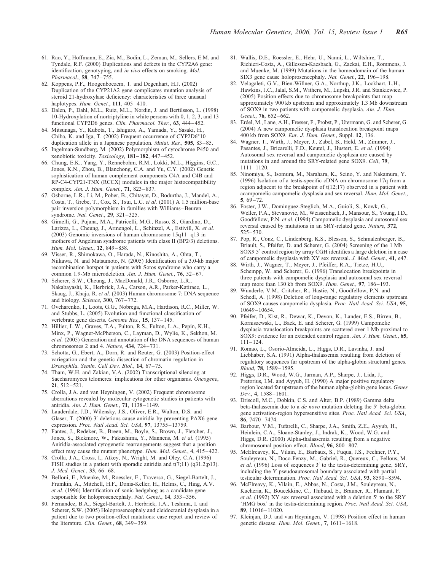- 61. Rao, Y., Hoffmann, E., Zia, M., Bodin, L., Zeman, M., Sellers, E.M. and Tyndale, R.F. (2000) Duplications and defects in the CYP2A6 gene: identification, genotyping, and in vivo effects on smoking. Mol. Pharmacol., 58, 747–755.
- 62. Koppens, P.F., Hoogenboezem, T. and Degenhart, H.J. (2002) Duplication of the CYP21A2 gene complicates mutation analysis of steroid 21-hydroxylase deficiency: characteristics of three unusual haplotypes. Hum. Genet., 111, 405–410.
- 63. Dalen, P., Dahl, M.L., Ruiz, M.L., Nordin, J. and Bertilsson, L. (1998) 10-Hydroxylation of nortriptyline in white persons with 0, 1, 2, 3, and 13 functional CYP2D6 genes. Clin. Pharmacol. Ther., 63, 444-452.
- 64. Mitsunaga, Y., Kubota, T., Ishiguro, A., Yamada, Y., Sasaki, H., Chiba, K. and Iga, T. (2002) Frequent occurrence of CYP2D6\*10 duplication allele in a Japanese population. Mutat. Res., 505, 83–85.
- 65. Ingelman-Sundberg, M. (2002) Polymorphism of cytochrome P450 and xenobiotic toxicity. Toxicology, 181– 182, 447–452.
- 66. Chung, E.K., Yang, Y., Rennebohm, R.M., Lokki, M.L., Higgins, G.C., Jones, K.N., Zhou, B., Blanchong, C.A. and Yu, C.Y. (2002) Genetic sophistication of human complement components C4A and C4B and RP-C4-CYP21-TNX (RCCX) modules in the major histocompatibility complex. Am. J. Hum. Genet., 71, 823–837.
- 67. Osborne, L.R., Li, M., Pober, B., Chitayat, D., Bodurtha, J., Mandel, A., Costa, T., Grebe, T., Cox, S., Tsui, L.C. et al. (2001) A 1.5 million-base pair inversion polymorphism in families with Williams–Beuren syndrome. Nat. Genet., 29, 321-325.
- 68. Gimelli, G., Pujana, M.A., Patricelli, M.G., Russo, S., Giardino, D., Larizza, L., Cheung, J., Armengol, L., Schinzel, A., Estivill, X. et al. (2003) Genomic inversions of human chromosome 15q11–q13 in mothers of Angelman syndrome patients with class II (BP2/3) deletions. Hum. Mol. Genet., 12, 849–858.
- 69. Visser, R., Shimokawa, O., Harada, N., Kinoshita, A., Ohta, T., Niikawa, N. and Matsumoto, N. (2005) Identification of a 3.0-kb major recombination hotspot in patients with Sotos syndrome who carry a common 1.9-Mb microdeletion. Am. J. Hum. Genet., 76, 52–67.
- 70. Scherer, S.W., Cheung, J., MacDonald, J.R., Osborne, L.R., Nakabayashi, K., Herbrick, J.A., Carson, A.R., Parker-Katiraee, L., Skaug, J., Khaja, R. et al. (2003) Human chromosome 7: DNA sequence and biology. Science, 300, 767 –772.
- 71. Ovcharenko, I., Loots, G.G., Nobrega, M.A., Hardison, R.C., Miller, W. and Stubbs, L. (2005) Evolution and functional classification of vertebrate gene deserts. Genome Res., 15, 137-145.
- 72. Hillier, L.W., Graves, T.A., Fulton, R.S., Fulton, L.A., Pepin, K.H., Minx, P., Wagner-McPherson, C., Layman, D., Wylie, K., Sekhon, M. et al. (2005) Generation and annotation of the DNA sequences of human chromosomes 2 and 4. Nature, 434, 724–731.
- 73. Schotta, G., Ebert, A., Dorn, R. and Reuter, G. (2003) Position-effect variegation and the genetic dissection of chromatin regulation in Drosophila. Semin. Cell Dev. Biol., 14, 67–75.
- 74. Tham, W.H. and Zakian, V.A. (2002) Transcriptional silencing at Saccharomyces telomeres: implications for other organisms. Oncogene, 21, 512 –521.
- 75. Crolla, J.A. and van Heyningen, V. (2002) Frequent chromosome aberrations revealed by molecular cytogenetic studies in patients with aniridia. Am. J. Hum. Genet., 71, 1138–1149.
- 76. Lauderdale, J.D., Wilensky, J.S., Oliver, E.R., Walton, D.S. and Glaser, T. (2000) 3' deletions cause aniridia by preventing PAX6 gene expression. Proc. Natl Acad. Sci. USA, 97, 13755-13759.
- 77. Fantes, J., Redeker, B., Breen, M., Boyle, S., Brown, J., Fletcher, J., Jones, S., Bickmore, W., Fukushima, Y., Mannens, M. et al. (1995) Aniridia-associated cytogenetic rearrangements suggest that a position effect may cause the mutant phenotype. Hum. Mol. Genet., 4, 415–422.
- 78. Crolla, J.A., Cross, I., Atkey, N., Wright, M. and Oley, C.A. (1996) FISH studies in a patient with sporadic aniridia and  $t(7;11)$  (q31.2;p13). J. Med. Genet., 33, 66–68.
- 79. Belloni, E., Muenke, M., Roessler, E., Traverso, G., Siegel-Bartelt, J., Frumkin, A., Mitchell, H.F., Donis-Keller, H., Helms, C., Hing, A.V. et al. (1996) Identification of sonic hedgehog as a candidate gene responsible for holoprosencephaly. Nat. Genet., 14, 353 –356.
- 80. Fernandez, B.A., Siegel-Bartelt, J., Herbrick, J.A., Teshima, I. and Scherer, S.W. (2005) Holoprosencephaly and cleidocranial dysplasia in a patient due to two position-effect mutations: case report and review of the literature. Clin. Genet., 68, 349-359.
- 81. Wallis, D.E., Roessler, E., Hehr, U., Nanni, L., Wiltshire, T., Richieri-Costa, A., Gillessen-Kaesbach, G., Zackai, E.H., Rommens, J. and Muenke, M. (1999) Mutations in the homeodomain of the human SIX3 gene cause holoprosencephaly. Nat. Genet., 22, 196–198.
- 82. Velagaleti, G.V., Bien-Willner, G.A., Northup, J.K., Lockhart, L.H., Hawkins, J.C., Jalal, S.M., Withers, M., Lupski, J.R. and Stankiewicz, P. (2005) Position effects due to chromosome breakpoints that map approximately 900 kb upstream and approximately 1.3 Mb downstream of SOX9 in two patients with campomelic dysplasia. Am. J. Hum. Genet., **76**, 652-662.
- 83. Erdel, M., Lane, A.H., Fresser, F., Probst, P., Utermann, G. and Scherer, G. (2004) A new campomelic dysplasia translocation breakpoint maps 400 kb from SOX9. Eur. J. Hum. Genet., Suppl. 12, 136.
- 84. Wagner, T., Wirth, J., Meyer, J., Zabel, B., Held, M., Zimmer, J., Pasantes, J., Bricarelli, F.D., Keutel, J., Hustert, E. et al. (1994) Autosomal sex reversal and campomelic dysplasia are caused by mutations in and around the SRY-related gene SOX9. Cell, 79, 1111–1120.
- 85. Ninomiya, S., Isomura, M., Narahara, K., Seino, Y. and Nakamura, Y. (1996) Isolation of a testis-specific cDNA on chromosome 17q from a region adjacent to the breakpoint of t(12;17) observed in a patient with acampomelic campomelic dysplasia and sex reversal. Hum. Mol. Genet., 5, 69–72.
- 86. Foster, J.W., Dominguez-Steglich, M.A., Guioli, S., Kowk, G., Weller, P.A., Stevanovic, M., Weissenbach, J., Mansour, S., Young, I.D., Goodfellow, P.N. et al. (1994) Campomelic dysplasia and autosomal sex reversal caused by mutations in an SRY-related gene. Nature, 372, 525–530.
- 87. Pop, R., Conz, C., Lindenberg, K.S., Blesson, S., Schmalenberger, B., Briault, S., Pfeifer, D. and Scherer, G. (2004) Screening of the 1 Mb SOX9 5' control region by array CGH identifies a large deletion in a case of campomelic dysplasia with XY sex reversal. J. Med. Genet., 41, e47.
- 88. Wirth, J., Wagner, T., Meyer, J., Pfeiffer, R.A., Tietze, H.U., Schempp, W. and Scherer, G. (1996) Translocation breakpoints in three patients with campomelic dysplasia and autosomal sex reversal map more than 130 kb from SOX9. Hum. Genet., 97, 186-193.
- 89. Wunderle, V.M., Critcher, R., Hastie, N., Goodfellow, P.N. and Schedl, A. (1998) Deletion of long-range regulatory elements upstream of SOX9 causes campomelic dysplasia. Proc. Natl Acad. Sci. USA, 95, 10649–10654.
- 90. Pfeifer, D., Kist, R., Dewar, K., Devon, K., Lander, E.S., Birren, B., Korniszewski, L., Back, E. and Scherer, G. (1999) Campomelic dysplasia translocation breakpoints are scattered over 1 Mb proximal to SOX9: evidence for an extended control region. Am. J. Hum. Genet., 65, 111–124.
- 91. Romao, L., Osorio-Almeida, L., Higgs, D.R., Lavinha, J. and Liebhaber, S.A. (1991) Alpha-thalassemia resulting from deletion of regulatory sequences far upstream of the alpha-globin structural genes. Blood, 78, 1589–1595.
- 92. Higgs, D.R., Wood, W.G., Jarman, A.P., Sharpe, J., Lida, J., Pretorius, I.M. and Ayyub, H. (1990) A major positive regulatory region located far upstream of the human alpha-globin gene locus. Genes Dev., 4, 1588–1601.
- 93. Driscoll, M.C., Dobkin, C.S. and Alter, B.P. (1989) Gamma delta beta-thalassemia due to a  $de novo$  mutation deleting the  $5'$  beta-globin gene activation-region hypersensitive sites. Proc. Natl Acad. Sci. USA, 86, 7470–7474.
- 94. Barbour, V.M., Tufarelli, C., Sharpe, J.A., Smith, Z.E., Ayyub, H., Heinlein, C.A., Sloane-Stanley, J., Indrak, K., Wood, W.G. and Higgs, D.R. (2000) Alpha-thalassemia resulting from a negative chromosomal position effect. Blood, 96, 800-807.
- 95. McElreavey, K., Vilain, E., Barbaux, S., Fuqua, J.S., Fechner, P.Y., Souleyreau, N., Doco-Fenzy, M., Gabriel, R., Quereux, C., Fellous, M. et al. (1996) Loss of sequences  $3'$  to the testis-determining gene, SRY, including the Y pseudoautosomal boundary associated with partial testicular determination. Proc. Natl Acad. Sci. USA, 93, 8590–8594.
- 96. McElreavy, K., Vilain, E., Abbas, N., Costa, J.M., Souleyreau, N., Kucheria, K., Boucekkine, C., Thibaud, E., Brauner, R., Flamant, F. et al. (1992) XY sex reversal associated with a deletion  $5'$  to the SRY 'HMG box' in the testis-determining region. Proc. Natl Acad. Sci. USA, 89, 11016–11020.
- 97. Kleinjan, D.J. and van Heyningen, V. (1998) Position effect in human genetic disease. Hum. Mol. Genet., 7, 1611–1618.